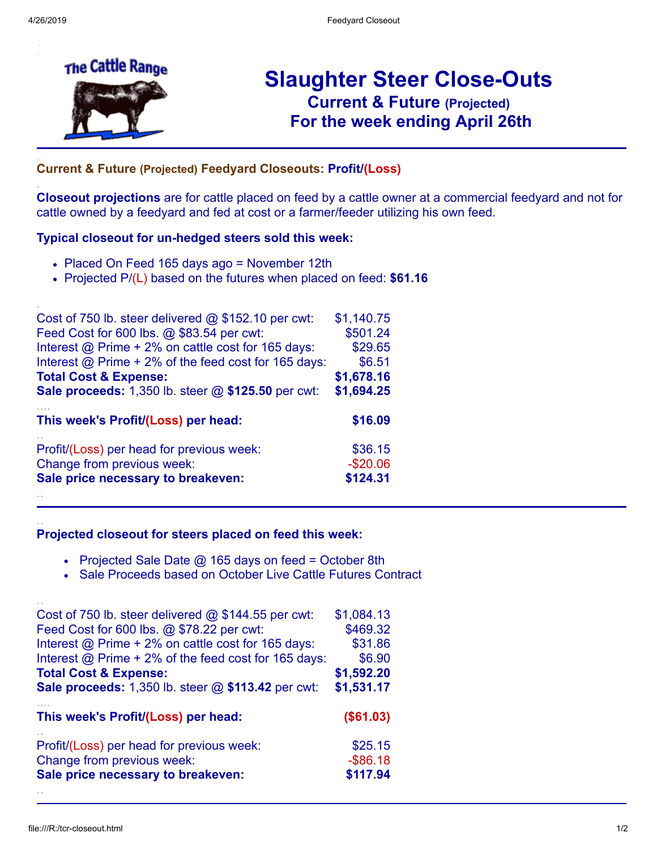.

.

..

..



# **Slaughter Steer Close-Outs Current & Future (Projected)** .**For the week ending April 26th**

## ... **Current & Future (Projected) Feedyard Closeouts: Profit/(Loss)**

**Closeout projections** are for cattle placed on feed by a cattle owner at a commercial feedyard and not for cattle owned by a feedyard and fed at cost or a farmer/feeder utilizing his own feed.

#### **Typical closeout for un-hedged steers sold this week:**

- Placed On Feed 165 days ago = November 12th
- Projected P/(L) based on the futures when placed on feed: **\$61.16**

| Cost of 750 lb. steer delivered @ \$152.10 per cwt:                     | \$1,140.75 |
|-------------------------------------------------------------------------|------------|
| Feed Cost for 600 lbs. @ \$83.54 per cwt:                               | \$501.24   |
| Interest @ Prime + 2% on cattle cost for 165 days:                      | \$29.65    |
| Interest $@$ Prime + 2% of the feed cost for 165 days:                  | \$6.51     |
| <b>Total Cost &amp; Expense:</b>                                        | \$1,678.16 |
| Sale proceeds: 1,350 lb. steer @ \$125.50 per cwt:                      | \$1,694.25 |
|                                                                         |            |
| This week's Profit/(Loss) per head:                                     | \$16.09    |
|                                                                         | \$36.15    |
| Profit/(Loss) per head for previous week:<br>Change from previous week: | $-$20.06$  |

#### **Projected closeout for steers placed on feed this week:**

- Projected Sale Date  $@$  165 days on feed = October 8th
- Sale Proceeds based on October Live Cattle Futures Contract

| Cost of 750 lb. steer delivered $@$ \$144.55 per cwt:  | \$1,084.13  |
|--------------------------------------------------------|-------------|
| Feed Cost for 600 lbs. @ \$78.22 per cwt:              | \$469.32    |
| Interest @ Prime + 2% on cattle cost for 165 days:     | \$31.86     |
| Interest $@$ Prime + 2% of the feed cost for 165 days: | \$6.90      |
| <b>Total Cost &amp; Expense:</b>                       | \$1,592.20  |
| Sale proceeds: 1,350 lb. steer @ \$113.42 per cwt:     | \$1,531.17  |
|                                                        |             |
| This week's Profit/(Loss) per head:                    | (\$61.03)   |
| Profit/(Loss) per head for previous week:              | \$25.15     |
| Change from previous week:                             | $-$ \$86.18 |
| Sale price necessary to breakeven:                     | \$117.94    |